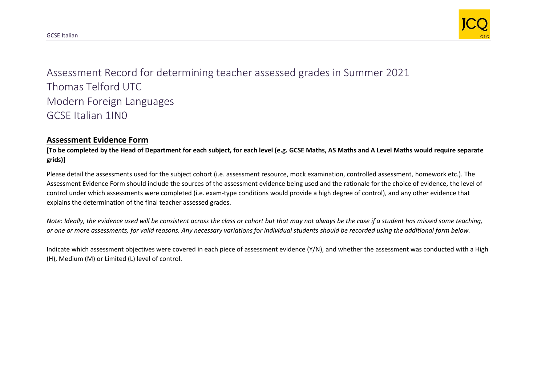

Assessment Record for determining teacher assessed grades in Summer 2021 Thomas Telford UTC Modern Foreign Languages GCSE Italian 1IN0

## **Assessment Evidence Form**

**[To be completed by the Head of Department for each subject, for each level (e.g. GCSE Maths, AS Maths and A Level Maths would require separate grids)]**

Please detail the assessments used for the subject cohort (i.e. assessment resource, mock examination, controlled assessment, homework etc.). The Assessment Evidence Form should include the sources of the assessment evidence being used and the rationale for the choice of evidence, the level of control under which assessments were completed (i.e. exam-type conditions would provide a high degree of control), and any other evidence that explains the determination of the final teacher assessed grades.

*Note: Ideally, the evidence used will be consistent across the class or cohort but that may not always be the case if a student has missed some teaching, or one or more assessments, for valid reasons. Any necessary variations for individual students should be recorded using the additional form below.* 

Indicate which assessment objectives were covered in each piece of assessment evidence (Y/N), and whether the assessment was conducted with a High (H), Medium (M) or Limited (L) level of control.